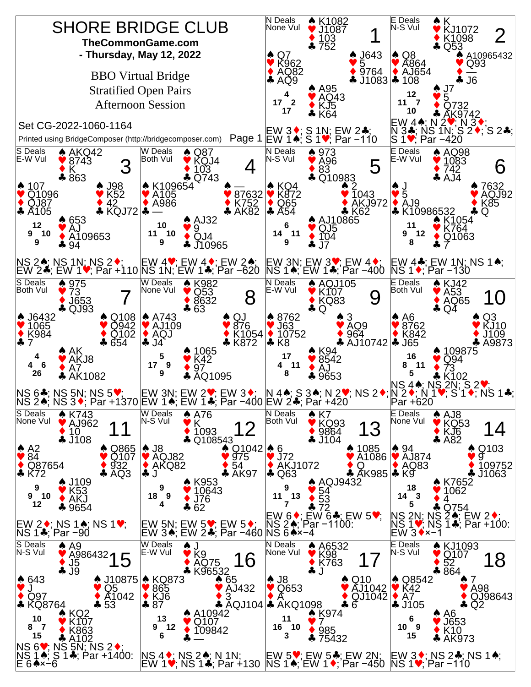